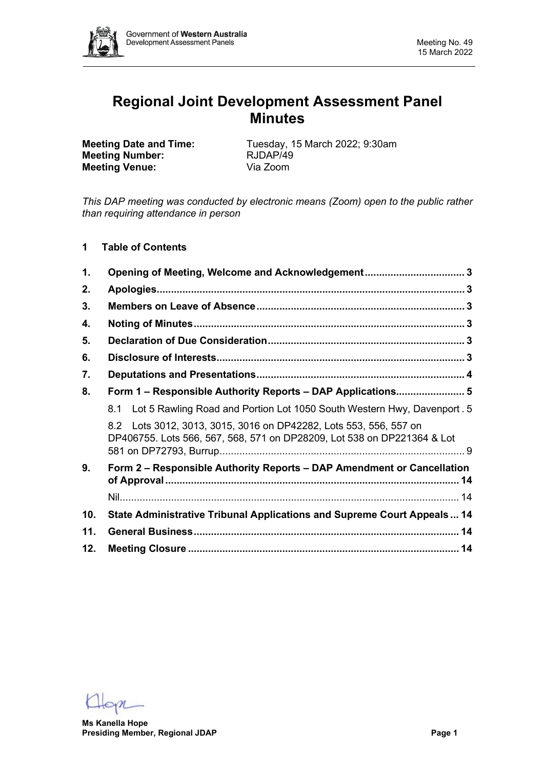

# **Regional Joint Development Assessment Panel Minutes**

**Meeting Number: Meeting Venue:** Via Zoom

**Meeting Date and Time:** Tuesday, 15 March 2022; 9:30am<br> **Meeting Number:** RJDAP/49

*This DAP meeting was conducted by electronic means (Zoom) open to the public rather than requiring attendance in person*

**1 Table of Contents**

| 1.  | Opening of Meeting, Welcome and Acknowledgement 3                                                                                               |  |
|-----|-------------------------------------------------------------------------------------------------------------------------------------------------|--|
| 2.  |                                                                                                                                                 |  |
| 3.  |                                                                                                                                                 |  |
| 4.  |                                                                                                                                                 |  |
| 5.  |                                                                                                                                                 |  |
| 6.  |                                                                                                                                                 |  |
| 7.  |                                                                                                                                                 |  |
| 8.  | Form 1 - Responsible Authority Reports - DAP Applications 5                                                                                     |  |
|     | 8.1 Lot 5 Rawling Road and Portion Lot 1050 South Western Hwy, Davenport . 5                                                                    |  |
|     | Lots 3012, 3013, 3015, 3016 on DP42282, Lots 553, 556, 557 on<br>8.2<br>DP406755. Lots 566, 567, 568, 571 on DP28209, Lot 538 on DP221364 & Lot |  |
| 9.  | Form 2 - Responsible Authority Reports - DAP Amendment or Cancellation                                                                          |  |
|     |                                                                                                                                                 |  |
| 10. | State Administrative Tribunal Applications and Supreme Court Appeals 14                                                                         |  |
| 11. |                                                                                                                                                 |  |
| 12. |                                                                                                                                                 |  |

**Ms Kanella Hope Presiding Member, Regional JDAP Page 1**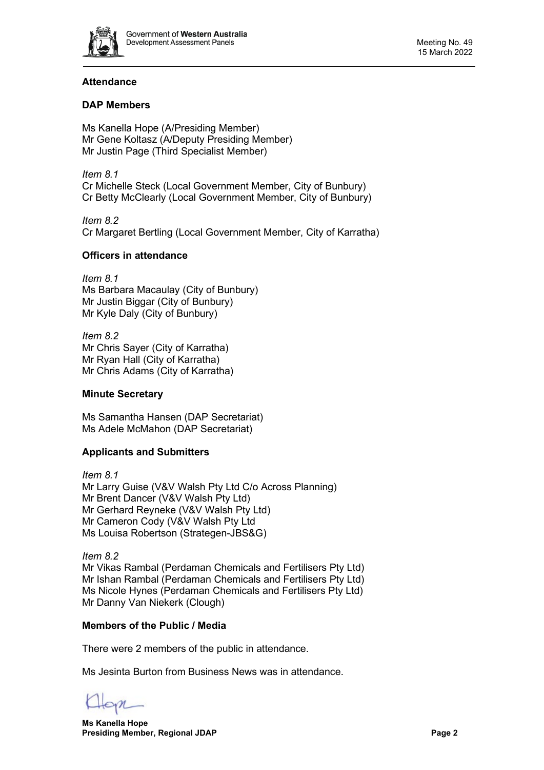

# **Attendance**

# **DAP Members**

Ms Kanella Hope (A/Presiding Member) Mr Gene Koltasz (A/Deputy Presiding Member) Mr Justin Page (Third Specialist Member)

*Item 8.1* Cr Michelle Steck (Local Government Member, City of Bunbury) Cr Betty McClearly (Local Government Member, City of Bunbury)

*Item 8.2* Cr Margaret Bertling (Local Government Member, City of Karratha)

# **Officers in attendance**

*Item 8.1* Ms Barbara Macaulay (City of Bunbury) Mr Justin Biggar (City of Bunbury) Mr Kyle Daly (City of Bunbury)

*Item 8.2* Mr Chris Sayer (City of Karratha) Mr Ryan Hall (City of Karratha) Mr Chris Adams (City of Karratha)

# **Minute Secretary**

Ms Samantha Hansen (DAP Secretariat) Ms Adele McMahon (DAP Secretariat)

# **Applicants and Submitters**

*Item 8.1* Mr Larry Guise (V&V Walsh Pty Ltd C/o Across Planning) Mr Brent Dancer (V&V Walsh Pty Ltd) Mr Gerhard Reyneke (V&V Walsh Pty Ltd) Mr Cameron Cody (V&V Walsh Pty Ltd Ms Louisa Robertson (Strategen-JBS&G)

*Item 8.2* Mr Vikas Rambal (Perdaman Chemicals and Fertilisers Pty Ltd) Mr Ishan Rambal (Perdaman Chemicals and Fertilisers Pty Ltd) Ms Nicole Hynes (Perdaman Chemicals and Fertilisers Pty Ltd) Mr Danny Van Niekerk (Clough)

# **Members of the Public / Media**

There were 2 members of the public in attendance.

Ms Jesinta Burton from Business News was in attendance.

**Ms Kanella Hope Presiding Member, Regional JDAP Page 2**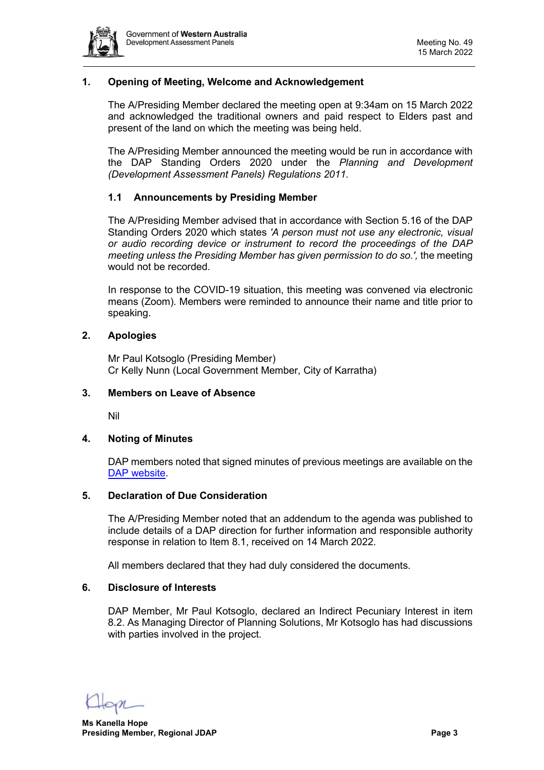

# <span id="page-2-0"></span>**1. Opening of Meeting, Welcome and Acknowledgement**

The A/Presiding Member declared the meeting open at 9:34am on 15 March 2022 and acknowledged the traditional owners and paid respect to Elders past and present of the land on which the meeting was being held.

The A/Presiding Member announced the meeting would be run in accordance with the DAP Standing Orders 2020 under the *Planning and Development (Development Assessment Panels) Regulations 2011.*

#### **1.1 Announcements by Presiding Member**

The A/Presiding Member advised that in accordance with Section 5.16 of the DAP Standing Orders 2020 which states *'A person must not use any electronic, visual or audio recording device or instrument to record the proceedings of the DAP meeting unless the Presiding Member has given permission to do so.',* the meeting would not be recorded.

In response to the COVID-19 situation, this meeting was convened via electronic means (Zoom). Members were reminded to announce their name and title prior to speaking.

## <span id="page-2-1"></span>**2. Apologies**

Mr Paul Kotsoglo (Presiding Member) Cr Kelly Nunn (Local Government Member, City of Karratha)

#### <span id="page-2-2"></span>**3. Members on Leave of Absence**

Nil

#### <span id="page-2-3"></span>**4. Noting of Minutes**

DAP members noted that signed minutes of previous meetings are available on the [DAP website.](https://www.dplh.wa.gov.au/about/development-assessment-panels/daps-agendas-and-minutes)

#### <span id="page-2-4"></span>**5. Declaration of Due Consideration**

The A/Presiding Member noted that an addendum to the agenda was published to include details of a DAP direction for further information and responsible authority response in relation to Item 8.1, received on 14 March 2022.

All members declared that they had duly considered the documents.

#### <span id="page-2-5"></span>**6. Disclosure of Interests**

DAP Member, Mr Paul Kotsoglo, declared an Indirect Pecuniary Interest in item 8.2. As Managing Director of Planning Solutions, Mr Kotsoglo has had discussions with parties involved in the project.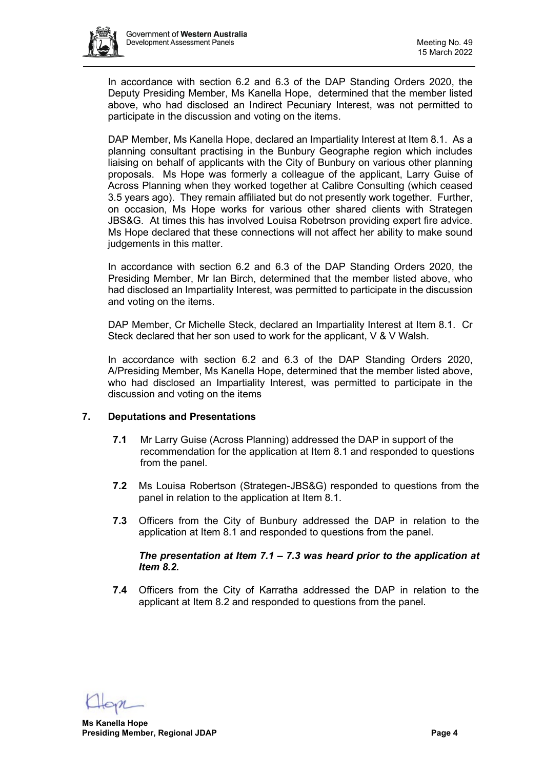

In accordance with section 6.2 and 6.3 of the DAP Standing Orders 2020, the Deputy Presiding Member, Ms Kanella Hope, determined that the member listed above, who had disclosed an Indirect Pecuniary Interest, was not permitted to participate in the discussion and voting on the items.

DAP Member, Ms Kanella Hope, declared an Impartiality Interest at Item 8.1. As a planning consultant practising in the Bunbury Geographe region which includes liaising on behalf of applicants with the City of Bunbury on various other planning proposals. Ms Hope was formerly a colleague of the applicant, Larry Guise of Across Planning when they worked together at Calibre Consulting (which ceased 3.5 years ago). They remain affiliated but do not presently work together. Further, on occasion, Ms Hope works for various other shared clients with Strategen JBS&G. At times this has involved Louisa Robetrson providing expert fire advice. Ms Hope declared that these connections will not affect her ability to make sound judgements in this matter.

In accordance with section 6.2 and 6.3 of the DAP Standing Orders 2020, the Presiding Member, Mr Ian Birch, determined that the member listed above, who had disclosed an Impartiality Interest, was permitted to participate in the discussion and voting on the items.

DAP Member, Cr Michelle Steck, declared an Impartiality Interest at Item 8.1. Cr Steck declared that her son used to work for the applicant, V & V Walsh.

In accordance with section 6.2 and 6.3 of the DAP Standing Orders 2020, A/Presiding Member, Ms Kanella Hope, determined that the member listed above, who had disclosed an Impartiality Interest, was permitted to participate in the discussion and voting on the items

# <span id="page-3-0"></span>**7. Deputations and Presentations**

- **7.1** Mr Larry Guise (Across Planning) addressed the DAP in support of the recommendation for the application at Item 8.1 and responded to questions from the panel.
- **7.2** Ms Louisa Robertson (Strategen-JBS&G) responded to questions from the panel in relation to the application at Item 8.1.
- **7.3** Officers from the City of Bunbury addressed the DAP in relation to the application at Item 8.1 and responded to questions from the panel.

# *The presentation at Item 7.1 – 7.3 was heard prior to the application at Item 8.2.*

**7.4** Officers from the City of Karratha addressed the DAP in relation to the applicant at Item 8.2 and responded to questions from the panel.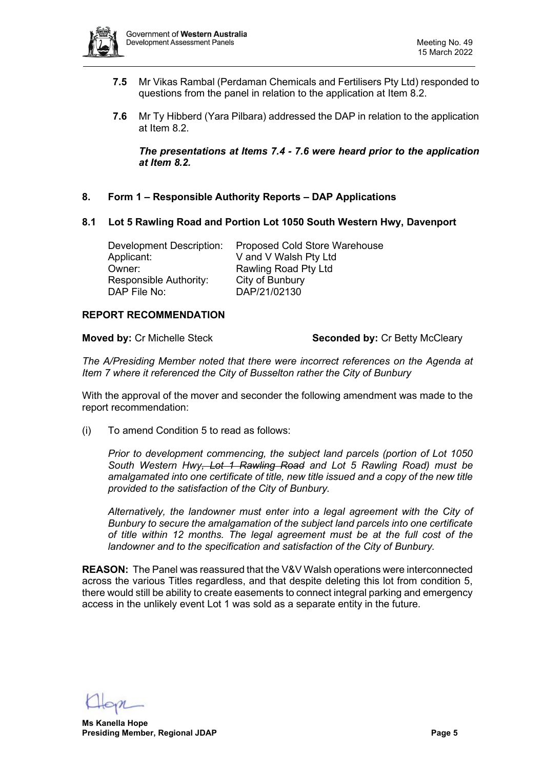

- **7.5** Mr Vikas Rambal (Perdaman Chemicals and Fertilisers Pty Ltd) responded to questions from the panel in relation to the application at Item 8.2.
- **7.6** Mr Ty Hibberd (Yara Pilbara) addressed the DAP in relation to the application at Item 8.2.

*The presentations at Items 7.4 - 7.6 were heard prior to the application at Item 8.2.* 

- <span id="page-4-0"></span>**8. Form 1 – Responsible Authority Reports – DAP Applications**
- <span id="page-4-1"></span>**8.1 Lot 5 Rawling Road and Portion Lot 1050 South Western Hwy, Davenport**

| Development Description: | <b>Proposed Cold Store Warehouse</b> |
|--------------------------|--------------------------------------|
| Applicant:               | V and V Walsh Pty Ltd                |
| Owner:                   | Rawling Road Pty Ltd                 |
| Responsible Authority:   | City of Bunbury                      |
| DAP File No:             | DAP/21/02130                         |

#### **REPORT RECOMMENDATION**

**Moved by:** Cr Michelle Steck **Seconded by:** Cr Betty McCleary

*The A/Presiding Member noted that there were incorrect references on the Agenda at Item 7 where it referenced the City of Busselton rather the City of Bunbury*

With the approval of the mover and seconder the following amendment was made to the report recommendation:

(i) To amend Condition 5 to read as follows:

*Prior to development commencing, the subject land parcels (portion of Lot 1050 South Western Hwy, Lot 1 Rawling Road and Lot 5 Rawling Road) must be amalgamated into one certificate of title, new title issued and a copy of the new title provided to the satisfaction of the City of Bunbury.* 

*Alternatively, the landowner must enter into a legal agreement with the City of Bunbury to secure the amalgamation of the subject land parcels into one certificate of title within 12 months. The legal agreement must be at the full cost of the landowner and to the specification and satisfaction of the City of Bunbury.*

**REASON:** The Panel was reassured that the V&V Walsh operations were interconnected across the various Titles regardless, and that despite deleting this lot from condition 5, there would still be ability to create easements to connect integral parking and emergency access in the unlikely event Lot 1 was sold as a separate entity in the future.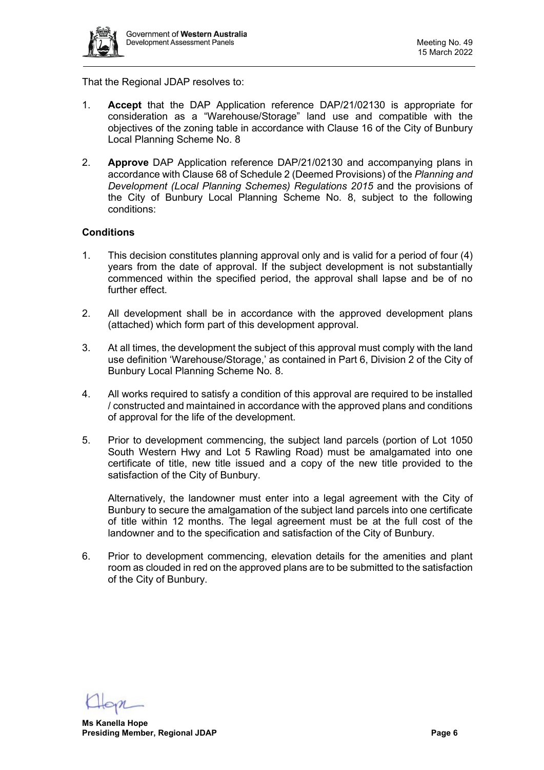

That the Regional JDAP resolves to:

- 1. **Accept** that the DAP Application reference DAP/21/02130 is appropriate for consideration as a "Warehouse/Storage" land use and compatible with the objectives of the zoning table in accordance with Clause 16 of the City of Bunbury Local Planning Scheme No. 8
- 2. **Approve** DAP Application reference DAP/21/02130 and accompanying plans in accordance with Clause 68 of Schedule 2 (Deemed Provisions) of the *Planning and Development (Local Planning Schemes) Regulations 2015* and the provisions of the City of Bunbury Local Planning Scheme No. 8, subject to the following conditions:

#### **Conditions**

- 1. This decision constitutes planning approval only and is valid for a period of four (4) years from the date of approval. If the subject development is not substantially commenced within the specified period, the approval shall lapse and be of no further effect.
- 2. All development shall be in accordance with the approved development plans (attached) which form part of this development approval.
- 3. At all times, the development the subject of this approval must comply with the land use definition 'Warehouse/Storage,' as contained in Part 6, Division 2 of the City of Bunbury Local Planning Scheme No. 8.
- 4. All works required to satisfy a condition of this approval are required to be installed / constructed and maintained in accordance with the approved plans and conditions of approval for the life of the development.
- 5. Prior to development commencing, the subject land parcels (portion of Lot 1050 South Western Hwy and Lot 5 Rawling Road) must be amalgamated into one certificate of title, new title issued and a copy of the new title provided to the satisfaction of the City of Bunbury.

Alternatively, the landowner must enter into a legal agreement with the City of Bunbury to secure the amalgamation of the subject land parcels into one certificate of title within 12 months. The legal agreement must be at the full cost of the landowner and to the specification and satisfaction of the City of Bunbury.

6. Prior to development commencing, elevation details for the amenities and plant room as clouded in red on the approved plans are to be submitted to the satisfaction of the City of Bunbury.

**Ms Kanella Hope Presiding Member, Regional JDAP Page 6**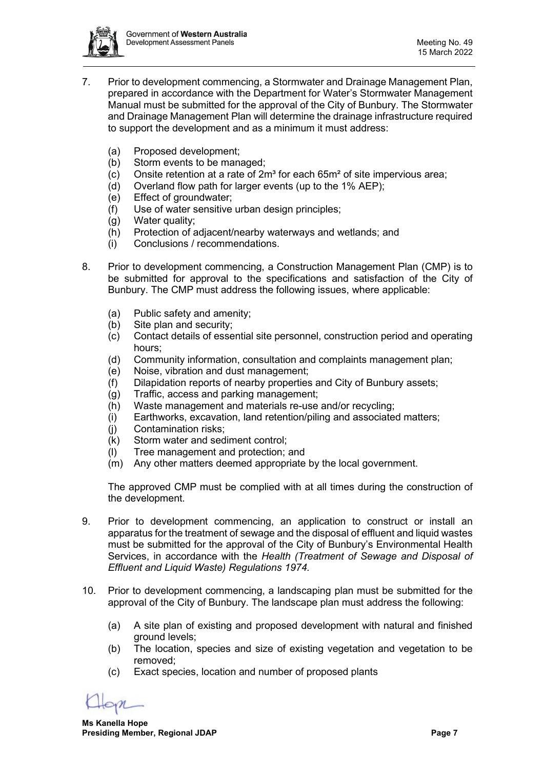

- 7. Prior to development commencing, a Stormwater and Drainage Management Plan, prepared in accordance with the Department for Water's Stormwater Management Manual must be submitted for the approval of the City of Bunbury. The Stormwater and Drainage Management Plan will determine the drainage infrastructure required to support the development and as a minimum it must address:
	- (a) Proposed development;
	- (b) Storm events to be managed;
	- $(c)$  Onsite retention at a rate of 2m<sup>3</sup> for each 65m<sup>2</sup> of site impervious area;
	- (d) Overland flow path for larger events (up to the 1% AEP);
	- (e) Effect of groundwater;
	- (f) Use of water sensitive urban design principles;
	- (g) Water quality;
	- (h) Protection of adjacent/nearby waterways and wetlands; and
	- (i) Conclusions / recommendations.
- 8. Prior to development commencing, a Construction Management Plan (CMP) is to be submitted for approval to the specifications and satisfaction of the City of Bunbury. The CMP must address the following issues, where applicable:
	- (a) Public safety and amenity;
	- (b) Site plan and security;
	- (c) Contact details of essential site personnel, construction period and operating hours;
	- (d) Community information, consultation and complaints management plan;
	- (e) Noise, vibration and dust management;
	- (f) Dilapidation reports of nearby properties and City of Bunbury assets;
	- (g) Traffic, access and parking management;
	- (h) Waste management and materials re-use and/or recycling;
	- (i) Earthworks, excavation, land retention/piling and associated matters;
	- (j) Contamination risks;
	- (k) Storm water and sediment control;
	- (l) Tree management and protection; and
	- (m) Any other matters deemed appropriate by the local government.

The approved CMP must be complied with at all times during the construction of the development.

- 9. Prior to development commencing, an application to construct or install an apparatus for the treatment of sewage and the disposal of effluent and liquid wastes must be submitted for the approval of the City of Bunbury's Environmental Health Services, in accordance with the *Health (Treatment of Sewage and Disposal of Effluent and Liquid Waste) Regulations 1974.*
- 10. Prior to development commencing, a landscaping plan must be submitted for the approval of the City of Bunbury. The landscape plan must address the following:
	- (a) A site plan of existing and proposed development with natural and finished ground levels;
	- (b) The location, species and size of existing vegetation and vegetation to be removed;
	- (c) Exact species, location and number of proposed plants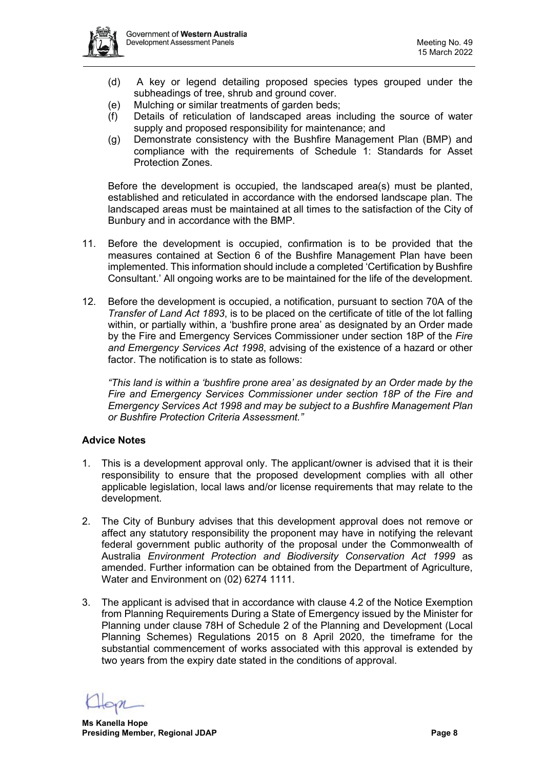

- (d) A key or legend detailing proposed species types grouped under the subheadings of tree, shrub and ground cover.
- (e) Mulching or similar treatments of garden beds;
- (f) Details of reticulation of landscaped areas including the source of water supply and proposed responsibility for maintenance; and
- (g) Demonstrate consistency with the Bushfire Management Plan (BMP) and compliance with the requirements of Schedule 1: Standards for Asset Protection Zones.

Before the development is occupied, the landscaped area(s) must be planted, established and reticulated in accordance with the endorsed landscape plan. The landscaped areas must be maintained at all times to the satisfaction of the City of Bunbury and in accordance with the BMP.

- 11. Before the development is occupied, confirmation is to be provided that the measures contained at Section 6 of the Bushfire Management Plan have been implemented. This information should include a completed 'Certification by Bushfire Consultant.' All ongoing works are to be maintained for the life of the development.
- 12. Before the development is occupied, a notification, pursuant to section 70A of the *Transfer of Land Act 1893*, is to be placed on the certificate of title of the lot falling within, or partially within, a 'bushfire prone area' as designated by an Order made by the Fire and Emergency Services Commissioner under section 18P of the *Fire and Emergency Services Act 1998*, advising of the existence of a hazard or other factor. The notification is to state as follows:

*"This land is within a 'bushfire prone area' as designated by an Order made by the Fire and Emergency Services Commissioner under section 18P of the Fire and Emergency Services Act 1998 and may be subject to a Bushfire Management Plan or Bushfire Protection Criteria Assessment."* 

# **Advice Notes**

- 1. This is a development approval only. The applicant/owner is advised that it is their responsibility to ensure that the proposed development complies with all other applicable legislation, local laws and/or license requirements that may relate to the development.
- 2. The City of Bunbury advises that this development approval does not remove or affect any statutory responsibility the proponent may have in notifying the relevant federal government public authority of the proposal under the Commonwealth of Australia *Environment Protection and Biodiversity Conservation Act 1999* as amended. Further information can be obtained from the Department of Agriculture, Water and Environment on (02) 6274 1111.
- 3. The applicant is advised that in accordance with clause 4.2 of the Notice Exemption from Planning Requirements During a State of Emergency issued by the Minister for Planning under clause 78H of Schedule 2 of the Planning and Development (Local Planning Schemes) Regulations 2015 on 8 April 2020, the timeframe for the substantial commencement of works associated with this approval is extended by two years from the expiry date stated in the conditions of approval.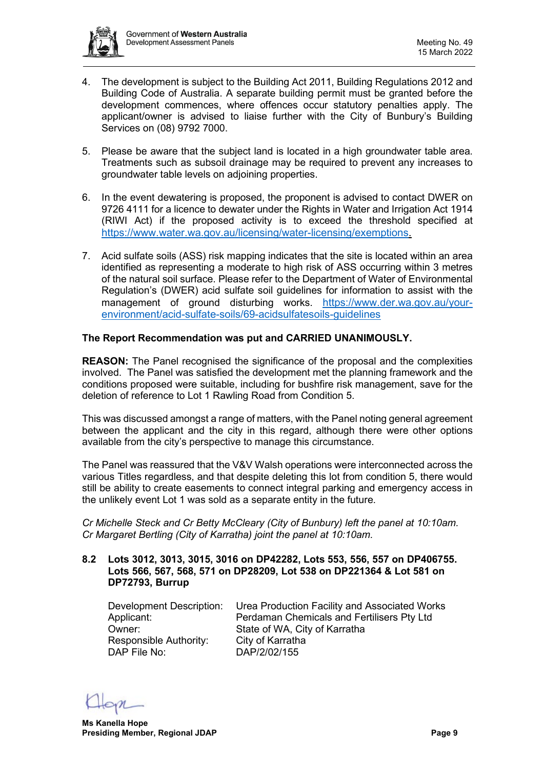

- 4. The development is subject to the Building Act 2011, Building Regulations 2012 and Building Code of Australia. A separate building permit must be granted before the development commences, where offences occur statutory penalties apply. The applicant/owner is advised to liaise further with the City of Bunbury's Building Services on (08) 9792 7000.
- 5. Please be aware that the subject land is located in a high groundwater table area. Treatments such as subsoil drainage may be required to prevent any increases to groundwater table levels on adjoining properties.
- 6. In the event dewatering is proposed, the proponent is advised to contact DWER on 9726 4111 for a licence to dewater under the Rights in Water and Irrigation Act 1914 (RIWI Act) if the proposed activity is to exceed the threshold specified at [https://www.water.wa.gov.au/licensing/water-licensing/exemptions.](https://aus01.safelinks.protection.outlook.com/?url=https%3A%2F%2Fwww.water.wa.gov.au%2Flicensing%2Fwater-licensing%2Fexemptions&data=04%7C01%7Cdaniel.wong%40dwer.wa.gov.au%7Cb6ee81a48ee74557588308d9daf35359%7C53ebe217aa1e46feb88e9d762dec2ef6%7C0%7C0%7C637781561070138198%7CUnknown%7CTWFpbGZsb3d8eyJWIjoiMC4wLjAwMDAiLCJQIjoiV2luMzIiLCJBTiI6Ik1haWwiLCJXVCI6Mn0%3D%7C0&sdata=jeZotUoX0m3zil14eoKLDGRm7Udwus%2Fpx5rKU%2BK1uSA%3D&reserved=0)
- 7. Acid sulfate soils (ASS) risk mapping indicates that the site is located within an area identified as representing a moderate to high risk of ASS occurring within 3 metres of the natural soil surface. Please refer to the Department of Water of Environmental Regulation's (DWER) acid sulfate soil guidelines for information to assist with the management of ground disturbing works. [https://www.der.wa.gov.au/your](https://aus01.safelinks.protection.outlook.com/?url=https%3A%2F%2Fwww.der.wa.gov.au%2Fyour-environment%2Facid-sulfate-soils%2F69-acidsulfatesoils-guidelines&data=04%7C01%7Cdaniel.wong%40dwer.wa.gov.au%7Cb6ee81a48ee74557588308d9daf35359%7C53ebe217aa1e46feb88e9d762dec2ef6%7C0%7C0%7C637781561070138198%7CUnknown%7CTWFpbGZsb3d8eyJWIjoiMC4wLjAwMDAiLCJQIjoiV2luMzIiLCJBTiI6Ik1haWwiLCJXVCI6Mn0%3D%7C0&sdata=Dg3T2LcI4nu7TCUdogGss4jsZ0%2FNWmFCcCvyvc4MDkM%3D&reserved=0)[environment/acid-sulfate-soils/69-acidsulfatesoils-guidelines](https://aus01.safelinks.protection.outlook.com/?url=https%3A%2F%2Fwww.der.wa.gov.au%2Fyour-environment%2Facid-sulfate-soils%2F69-acidsulfatesoils-guidelines&data=04%7C01%7Cdaniel.wong%40dwer.wa.gov.au%7Cb6ee81a48ee74557588308d9daf35359%7C53ebe217aa1e46feb88e9d762dec2ef6%7C0%7C0%7C637781561070138198%7CUnknown%7CTWFpbGZsb3d8eyJWIjoiMC4wLjAwMDAiLCJQIjoiV2luMzIiLCJBTiI6Ik1haWwiLCJXVCI6Mn0%3D%7C0&sdata=Dg3T2LcI4nu7TCUdogGss4jsZ0%2FNWmFCcCvyvc4MDkM%3D&reserved=0)

# **The Report Recommendation was put and CARRIED UNANIMOUSLY.**

**REASON:** The Panel recognised the significance of the proposal and the complexities involved. The Panel was satisfied the development met the planning framework and the conditions proposed were suitable, including for bushfire risk management, save for the deletion of reference to Lot 1 Rawling Road from Condition 5.

This was discussed amongst a range of matters, with the Panel noting general agreement between the applicant and the city in this regard, although there were other options available from the city's perspective to manage this circumstance.

The Panel was reassured that the V&V Walsh operations were interconnected across the various Titles regardless, and that despite deleting this lot from condition 5, there would still be ability to create easements to connect integral parking and emergency access in the unlikely event Lot 1 was sold as a separate entity in the future.

*Cr Michelle Steck and Cr Betty McCleary (City of Bunbury) left the panel at 10:10am. Cr Margaret Bertling (City of Karratha) joint the panel at 10:10am.*

#### <span id="page-8-0"></span>**8.2 Lots 3012, 3013, 3015, 3016 on DP42282, Lots 553, 556, 557 on DP406755. Lots 566, 567, 568, 571 on DP28209, Lot 538 on DP221364 & Lot 581 on DP72793, Burrup**

Responsible Authority: City of Karratha DAP File No: DAP/2/02/155

Development Description: Urea Production Facility and Associated Works Applicant: Perdaman Chemicals and Fertilisers Pty Ltd<br>
Owner: State of WA. City of Karratha State of WA, City of Karratha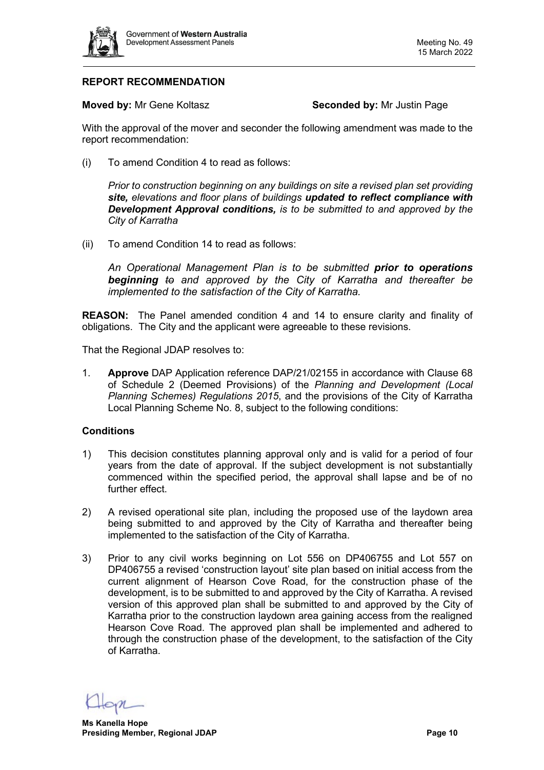

# **REPORT RECOMMENDATION**

**Moved by:** Mr Gene Koltasz **Seconded by:** Mr Justin Page

With the approval of the mover and seconder the following amendment was made to the report recommendation:

(i) To amend Condition 4 to read as follows:

*Prior to construction beginning on any buildings on site a revised plan set providing site, elevations and floor plans of buildings updated to reflect compliance with Development Approval conditions, is to be submitted to and approved by the City of Karratha*

(ii) To amend Condition 14 to read as follows:

*An Operational Management Plan is to be submitted prior to operations beginning to and approved by the City of Karratha and thereafter be implemented to the satisfaction of the City of Karratha.*

**REASON:** The Panel amended condition 4 and 14 to ensure clarity and finality of obligations. The City and the applicant were agreeable to these revisions.

That the Regional JDAP resolves to:

1. **Approve** DAP Application reference DAP/21/02155 in accordance with Clause 68 of Schedule 2 (Deemed Provisions) of the *Planning and Development (Local Planning Schemes) Regulations 2015*, and the provisions of the City of Karratha Local Planning Scheme No. 8, subject to the following conditions:

# **Conditions**

- 1) This decision constitutes planning approval only and is valid for a period of four years from the date of approval. If the subject development is not substantially commenced within the specified period, the approval shall lapse and be of no further effect.
- 2) A revised operational site plan, including the proposed use of the laydown area being submitted to and approved by the City of Karratha and thereafter being implemented to the satisfaction of the City of Karratha.
- 3) Prior to any civil works beginning on Lot 556 on DP406755 and Lot 557 on DP406755 a revised 'construction layout' site plan based on initial access from the current alignment of Hearson Cove Road, for the construction phase of the development, is to be submitted to and approved by the City of Karratha. A revised version of this approved plan shall be submitted to and approved by the City of Karratha prior to the construction laydown area gaining access from the realigned Hearson Cove Road. The approved plan shall be implemented and adhered to through the construction phase of the development, to the satisfaction of the City of Karratha.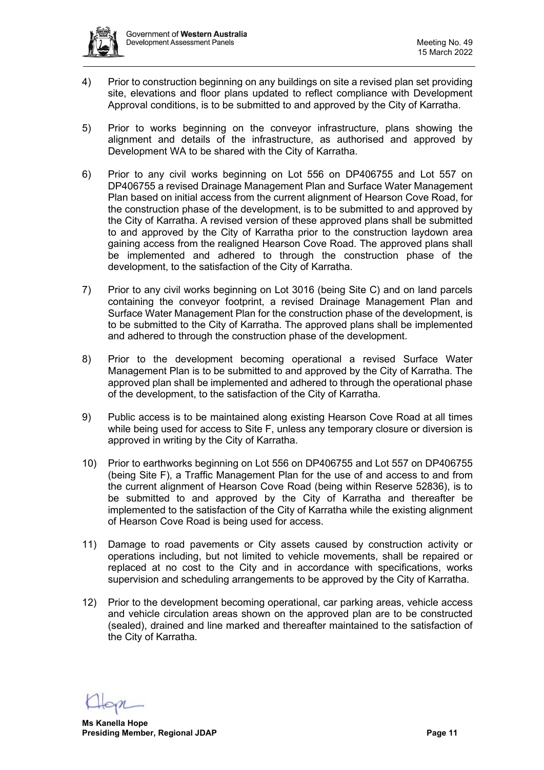

- 4) Prior to construction beginning on any buildings on site a revised plan set providing site, elevations and floor plans updated to reflect compliance with Development Approval conditions, is to be submitted to and approved by the City of Karratha.
- 5) Prior to works beginning on the conveyor infrastructure, plans showing the alignment and details of the infrastructure, as authorised and approved by Development WA to be shared with the City of Karratha.
- 6) Prior to any civil works beginning on Lot 556 on DP406755 and Lot 557 on DP406755 a revised Drainage Management Plan and Surface Water Management Plan based on initial access from the current alignment of Hearson Cove Road, for the construction phase of the development, is to be submitted to and approved by the City of Karratha. A revised version of these approved plans shall be submitted to and approved by the City of Karratha prior to the construction laydown area gaining access from the realigned Hearson Cove Road. The approved plans shall be implemented and adhered to through the construction phase of the development, to the satisfaction of the City of Karratha.
- 7) Prior to any civil works beginning on Lot 3016 (being Site C) and on land parcels containing the conveyor footprint, a revised Drainage Management Plan and Surface Water Management Plan for the construction phase of the development, is to be submitted to the City of Karratha. The approved plans shall be implemented and adhered to through the construction phase of the development.
- 8) Prior to the development becoming operational a revised Surface Water Management Plan is to be submitted to and approved by the City of Karratha. The approved plan shall be implemented and adhered to through the operational phase of the development, to the satisfaction of the City of Karratha.
- 9) Public access is to be maintained along existing Hearson Cove Road at all times while being used for access to Site F, unless any temporary closure or diversion is approved in writing by the City of Karratha.
- 10) Prior to earthworks beginning on Lot 556 on DP406755 and Lot 557 on DP406755 (being Site F), a Traffic Management Plan for the use of and access to and from the current alignment of Hearson Cove Road (being within Reserve 52836), is to be submitted to and approved by the City of Karratha and thereafter be implemented to the satisfaction of the City of Karratha while the existing alignment of Hearson Cove Road is being used for access.
- 11) Damage to road pavements or City assets caused by construction activity or operations including, but not limited to vehicle movements, shall be repaired or replaced at no cost to the City and in accordance with specifications, works supervision and scheduling arrangements to be approved by the City of Karratha.
- 12) Prior to the development becoming operational, car parking areas, vehicle access and vehicle circulation areas shown on the approved plan are to be constructed (sealed), drained and line marked and thereafter maintained to the satisfaction of the City of Karratha.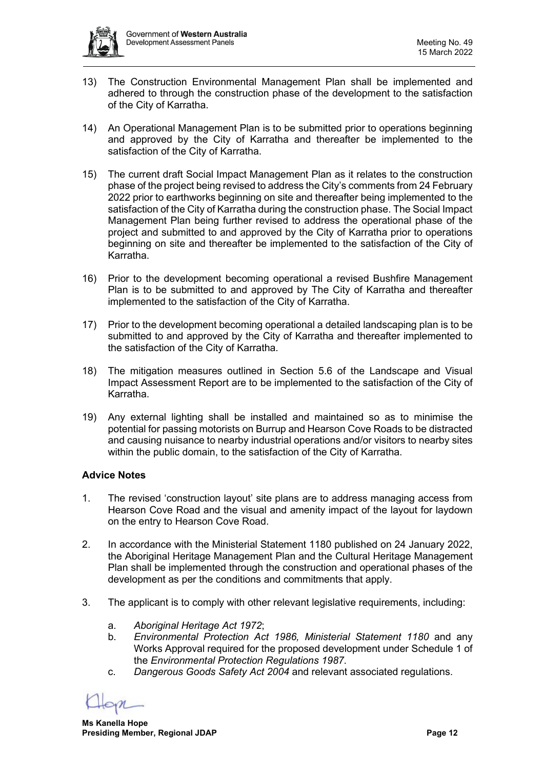

- 13) The Construction Environmental Management Plan shall be implemented and adhered to through the construction phase of the development to the satisfaction of the City of Karratha.
- 14) An Operational Management Plan is to be submitted prior to operations beginning and approved by the City of Karratha and thereafter be implemented to the satisfaction of the City of Karratha.
- 15) The current draft Social Impact Management Plan as it relates to the construction phase of the project being revised to address the City's comments from 24 February 2022 prior to earthworks beginning on site and thereafter being implemented to the satisfaction of the City of Karratha during the construction phase. The Social Impact Management Plan being further revised to address the operational phase of the project and submitted to and approved by the City of Karratha prior to operations beginning on site and thereafter be implemented to the satisfaction of the City of Karratha.
- 16) Prior to the development becoming operational a revised Bushfire Management Plan is to be submitted to and approved by The City of Karratha and thereafter implemented to the satisfaction of the City of Karratha.
- 17) Prior to the development becoming operational a detailed landscaping plan is to be submitted to and approved by the City of Karratha and thereafter implemented to the satisfaction of the City of Karratha.
- 18) The mitigation measures outlined in Section 5.6 of the Landscape and Visual Impact Assessment Report are to be implemented to the satisfaction of the City of Karratha.
- 19) Any external lighting shall be installed and maintained so as to minimise the potential for passing motorists on Burrup and Hearson Cove Roads to be distracted and causing nuisance to nearby industrial operations and/or visitors to nearby sites within the public domain, to the satisfaction of the City of Karratha.

# **Advice Notes**

- 1. The revised 'construction layout' site plans are to address managing access from Hearson Cove Road and the visual and amenity impact of the layout for laydown on the entry to Hearson Cove Road.
- 2. In accordance with the Ministerial Statement 1180 published on 24 January 2022, the Aboriginal Heritage Management Plan and the Cultural Heritage Management Plan shall be implemented through the construction and operational phases of the development as per the conditions and commitments that apply.
- 3. The applicant is to comply with other relevant legislative requirements, including:
	- a. *Aboriginal Heritage Act 1972*;
	- b. *Environmental Protection Act 1986, Ministerial Statement 1180* and any Works Approval required for the proposed development under Schedule 1 of the *Environmental Protection Regulations 1987*.
	- c. *Dangerous Goods Safety Act 2004* and relevant associated regulations.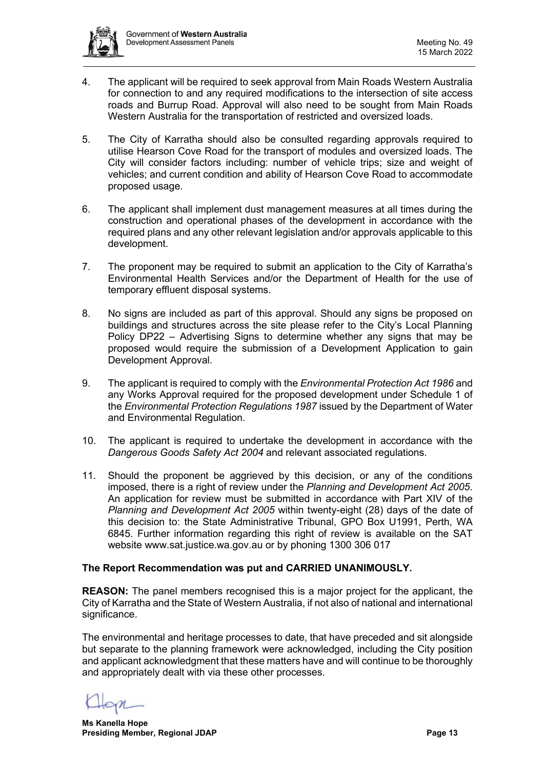

- 4. The applicant will be required to seek approval from Main Roads Western Australia for connection to and any required modifications to the intersection of site access roads and Burrup Road. Approval will also need to be sought from Main Roads Western Australia for the transportation of restricted and oversized loads.
- 5. The City of Karratha should also be consulted regarding approvals required to utilise Hearson Cove Road for the transport of modules and oversized loads. The City will consider factors including: number of vehicle trips; size and weight of vehicles; and current condition and ability of Hearson Cove Road to accommodate proposed usage.
- 6. The applicant shall implement dust management measures at all times during the construction and operational phases of the development in accordance with the required plans and any other relevant legislation and/or approvals applicable to this development.
- 7. The proponent may be required to submit an application to the City of Karratha's Environmental Health Services and/or the Department of Health for the use of temporary effluent disposal systems.
- 8. No signs are included as part of this approval. Should any signs be proposed on buildings and structures across the site please refer to the City's Local Planning Policy DP22 – Advertising Signs to determine whether any signs that may be proposed would require the submission of a Development Application to gain Development Approval.
- 9. The applicant is required to comply with the *Environmental Protection Act 1986* and any Works Approval required for the proposed development under Schedule 1 of the *Environmental Protection Regulations 1987* issued by the Department of Water and Environmental Regulation.
- 10. The applicant is required to undertake the development in accordance with the *Dangerous Goods Safety Act 2004* and relevant associated regulations.
- 11. Should the proponent be aggrieved by this decision, or any of the conditions imposed, there is a right of review under the *Planning and Development Act 2005*. An application for review must be submitted in accordance with Part XIV of the *Planning and Development Act 2005* within twenty-eight (28) days of the date of this decision to: the State Administrative Tribunal, GPO Box U1991, Perth, WA 6845. Further information regarding this right of review is available on the SAT website www.sat.justice.wa.gov.au or by phoning 1300 306 017

# **The Report Recommendation was put and CARRIED UNANIMOUSLY.**

**REASON:** The panel members recognised this is a major project for the applicant, the City of Karratha and the State of Western Australia, if not also of national and international significance.

The environmental and heritage processes to date, that have preceded and sit alongside but separate to the planning framework were acknowledged, including the City position and applicant acknowledgment that these matters have and will continue to be thoroughly and appropriately dealt with via these other processes.